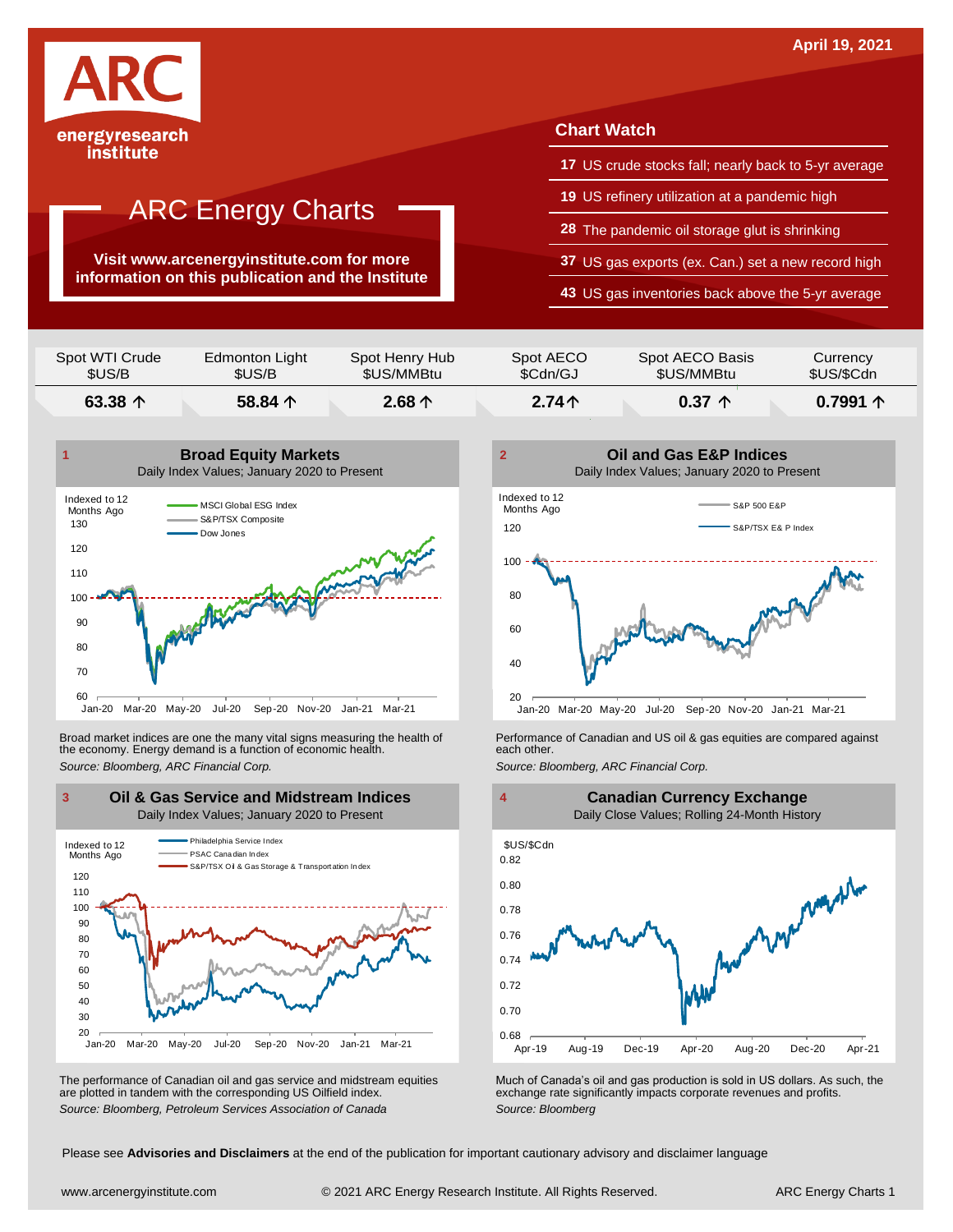

institute

## **ARC Energy Charts**

**Visit www.arcenergyinstitute.com for more information on this publication and the Institute**

#### **Chart Watch**

- **17** US crude stocks fall; nearly back to 5-yr average
- **19** US refinery utilization at a pandemic high
- **28** The pandemic oil storage glut is shrinking
- **37** US gas exports (ex. Can.) set a new record high
- **43** US gas inventories back above the 5-yr average

| Spot WTI Crude   | Edmonton Light   | Spot Henry Hub  | Spot AECO | Spot AECO Basis | Currency          |
|------------------|------------------|-----------------|-----------|-----------------|-------------------|
| \$US/B           | \$US/B           | \$US/MMBtu      | \$Cdn/GJ  | \$US/MMBtu      | \$US/\$Cdn        |
| 63.38 $\uparrow$ | 58.84 $\uparrow$ | $2.68 \uparrow$ | $2.74+$   | $0.37 \uparrow$ | $0.7991 \uparrow$ |



Broad market indices are one the many vital signs measuring the health of **Performance of Canadian and US oil &** gas equities are compared against the economy. Energy demand is a function of economic health. **The exact oth** the economy. Energy demand is a function of economic health.



The performance of Canadian oil and gas service and midstream equities are plotted in tandem with the corresponding US Oilfield index.





The performance of Canadian oil and gas service and midstream equities Much of Canada's oil and gas production is sold in US dollars. As such, the are plotted in tandem with the corresponding US Oilfield index.<br>
Source: Bl

Please see **Advisories and Disclaimers** at the end of the publication for important cautionary advisory and disclaimer language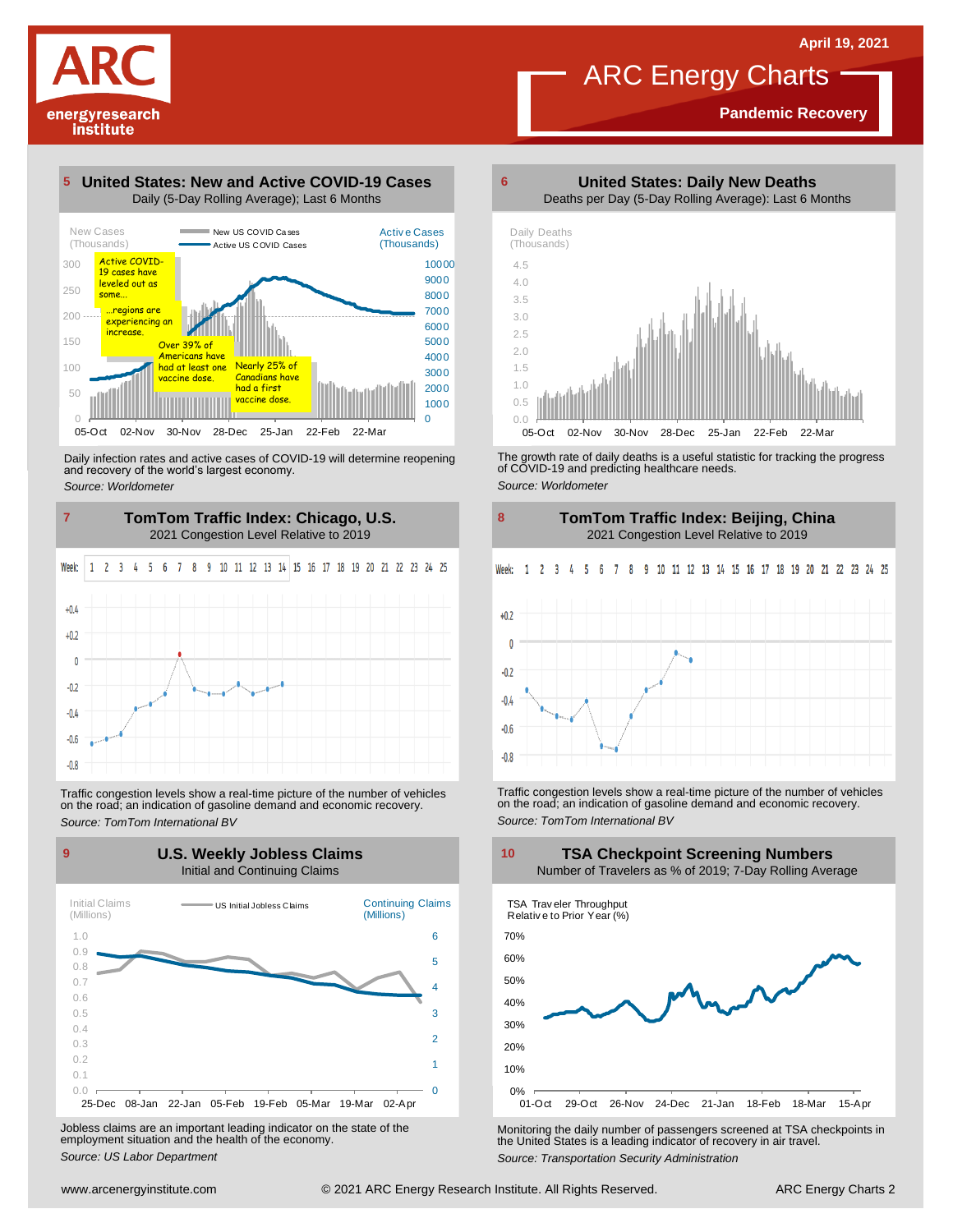**Pandemic Recovery**



**5**

## **United States: New and Active COVID-19 Cases**



Daily infection rates and active cases of COVID-19 will determine reopening and recovery of the world's largest economy. *Source: Worldometer*



Traffic congestion levels show <sup>a</sup> real-time picture of the number of vehicles on the road; an indication of gasoline demand and economic recovery. *Source: TomTom International BV*

**U.S. Weekly Jobless Claims 9 10**



Jobless claims are an important leading indicator on the state of the employment situation and the health of the economy. *Source: US Labor Department*



ARC Energy Charts

**United States: Daily New Deaths**

**6**

The growth rate of daily deaths is <sup>a</sup> useful statistic for tracking the progress of COVID-19 and predicting healthcare needs. *Source: Worldometer*

02-Nov 30-Nov 28-Dec 25-Jan 22-Feb 22-Ma



Traffic congestion levels show <sup>a</sup> real-time picture of the number of vehicles on the road; an indication of gasoline demand and economic recovery. *Source: TomTom International BV*

**TSA Checkpoint Screening Numbers**



Monitoring the daily number of passengers screened at TSA checkpoints in the United States is <sup>a</sup> leading indicator of recovery in air travel. *Source: Transportation Security Administration*

 $-0.8$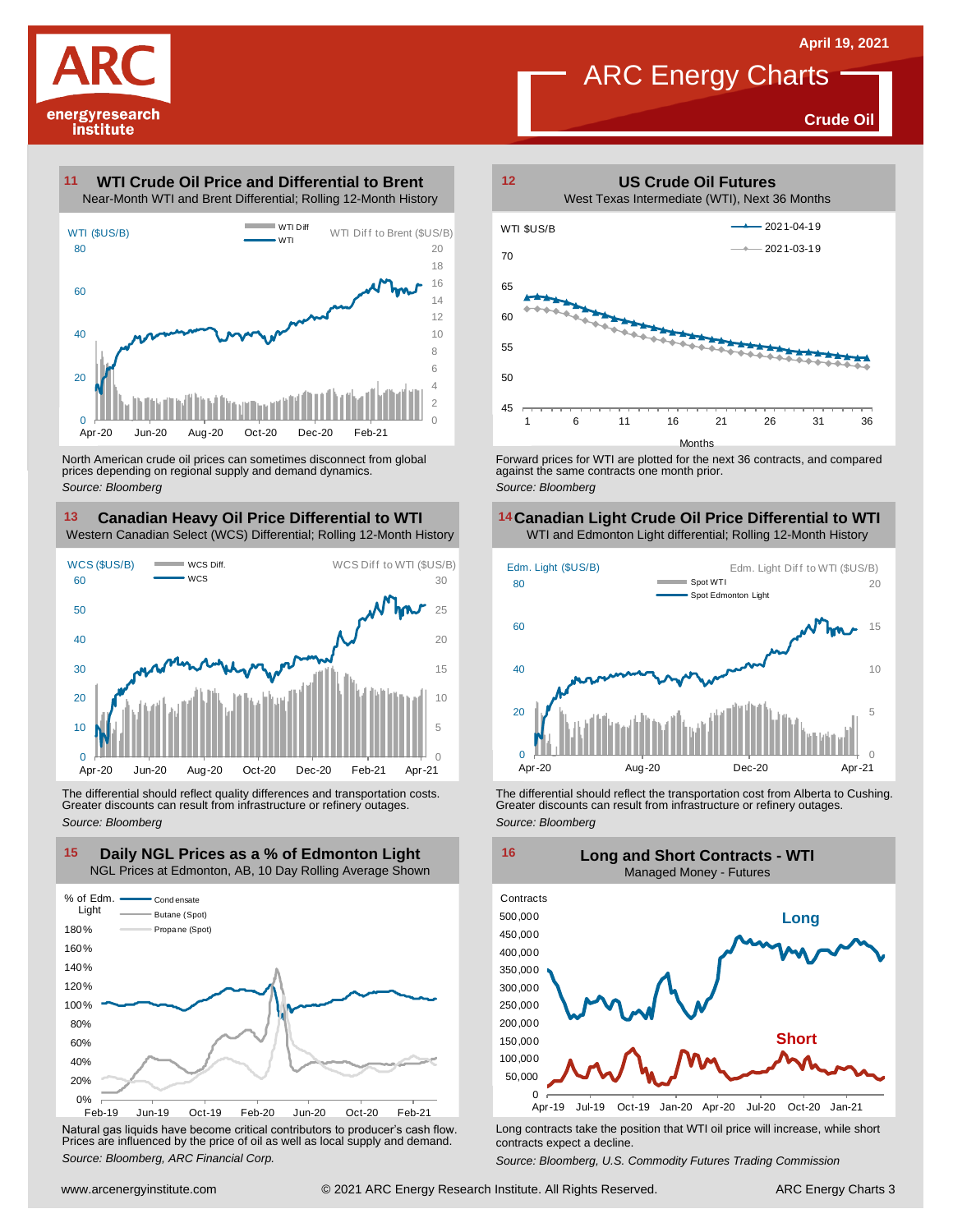**Crude Oil**



#### **WTI Crude Oil Price and Differential to Brent 11**



North American crude oil prices can sometimes disconnect from global prices depending on regional supply and demand dynamics. *Source: Bloomberg*

#### **Canadian Heavy Oil Price Differential to WTI 13 14** Western Canadian Select (WCS) Differential; Rolling 12-Month History



The differential should reflect quality differences and transportation costs. Greater discounts can result from infrastructure or refinery outages. *Source: Bloomberg*



Natural gas liquids have become critical contributors to producer's cash flow. Long contracts take the position that WTI oil price will increase, while short<br>Prices are influenced by the price of oil as well as local suppl



ARC Energy Charts

Forward prices for WTI are plotted for the next 36 contracts, and compared against the same contracts one month prior. *Source: Bloomberg*

## **Canadian Light Crude Oil Price Differential to WTI**



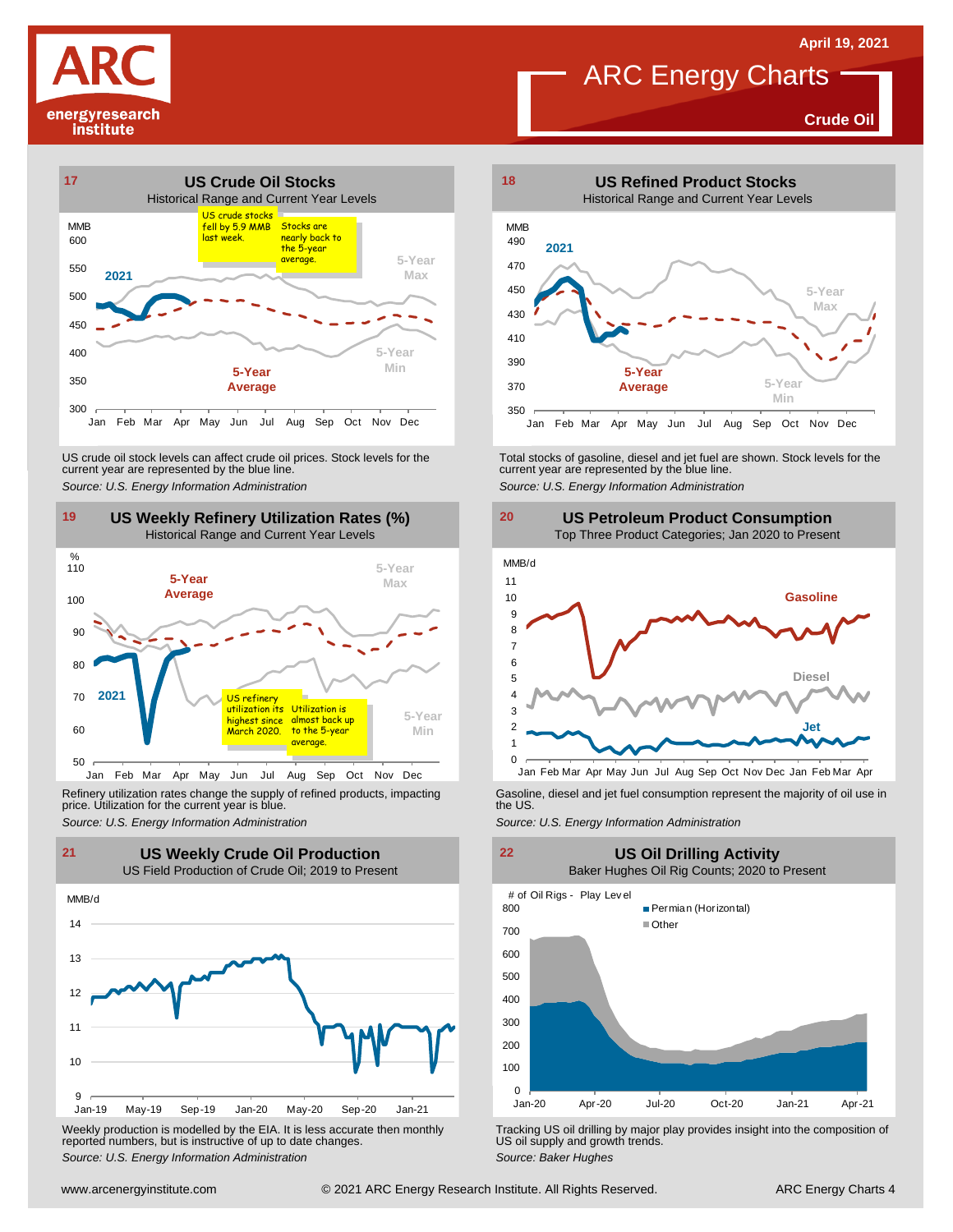**Crude Oil**







Refinery utilization rates change the supply of refined products, impacting price. Utilization for the current year is blue. Refinery utilization rates change the supply of refined products, impacting<br>
price. Utilization for the current year is blue.<br>
Source: U.S. Energy Information Administration<br>
Source: U.S. Energy Information Administration<br>



Weekly production is modelled by the EIA. It is less accurate then monthly reported numbers, but is instructive of up to date changes. *Source: Weekly production* is modelled by the EIA. It is less accurate then monthly **Tracking US oil drilling by major play provides insight into the composition of reported numbers, but is instructive of up to date cha** 



**ARC Energy Charts** 

**US Petroleum Product Consumption** Top Three Product Categories; Jan 2020 to Present





US oil supply and growth trends. *Source: Baker Hughes*

**21 22 US Weekly Crude Oil Production**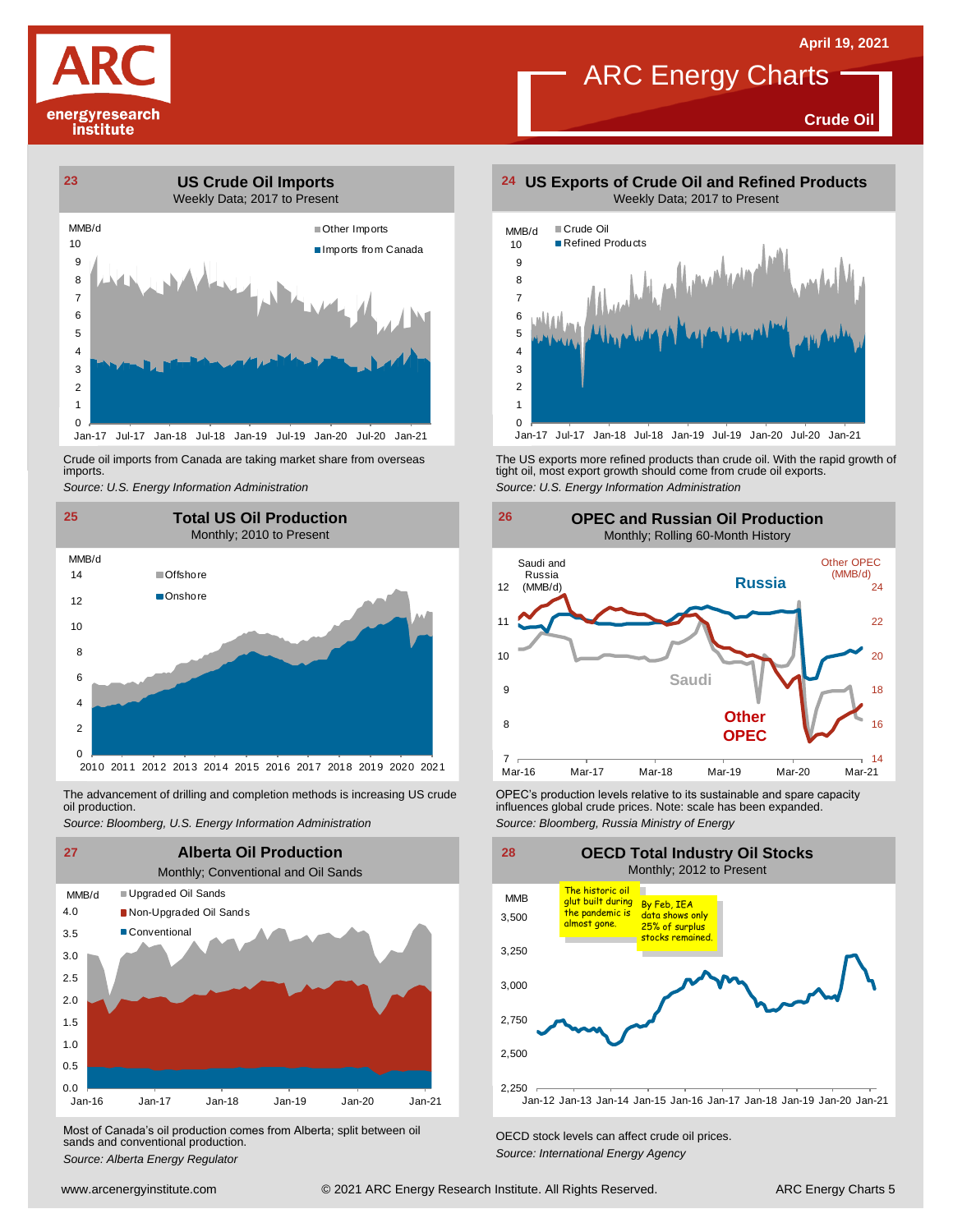**Crude Oil**





Crude oil imports from Canada are taking market share from overseas imports.



oil production.



Most of Canada's oil production comes from Alberta; split between oil sands and conventional production. *Source: Alberta Energy Regulator Comes Irom Alberta*; *Split between on CECD stock levels can affect crude oil prices. Source: Alberta Energy Agency*<br>*Source: Alberta Energy Regulator Capacitor Energy Ag* 

**US Exports of Crude Oil and Refined Products**

ARC Energy Charts



Crude oil imports from Canada are taking market share from overseas The US exports more refined products than crude oil. With the rapid growth of tight oil, most exports more refined products than crude oil exports.<br>import *Source: U.S. Energy Information Administration*



The advancement of drilling and completion methods is increasing US crude CPEC's production levels relative to its sustainable and spare capacity<br>oil production. influences global crude prices. Note: scale has been expande OPEC's production levels relative to its sustainable and spare capacity influences global crude prices. Note: scale has been expanded. *Source: Bloomberg, Russia Ministry of Energy*

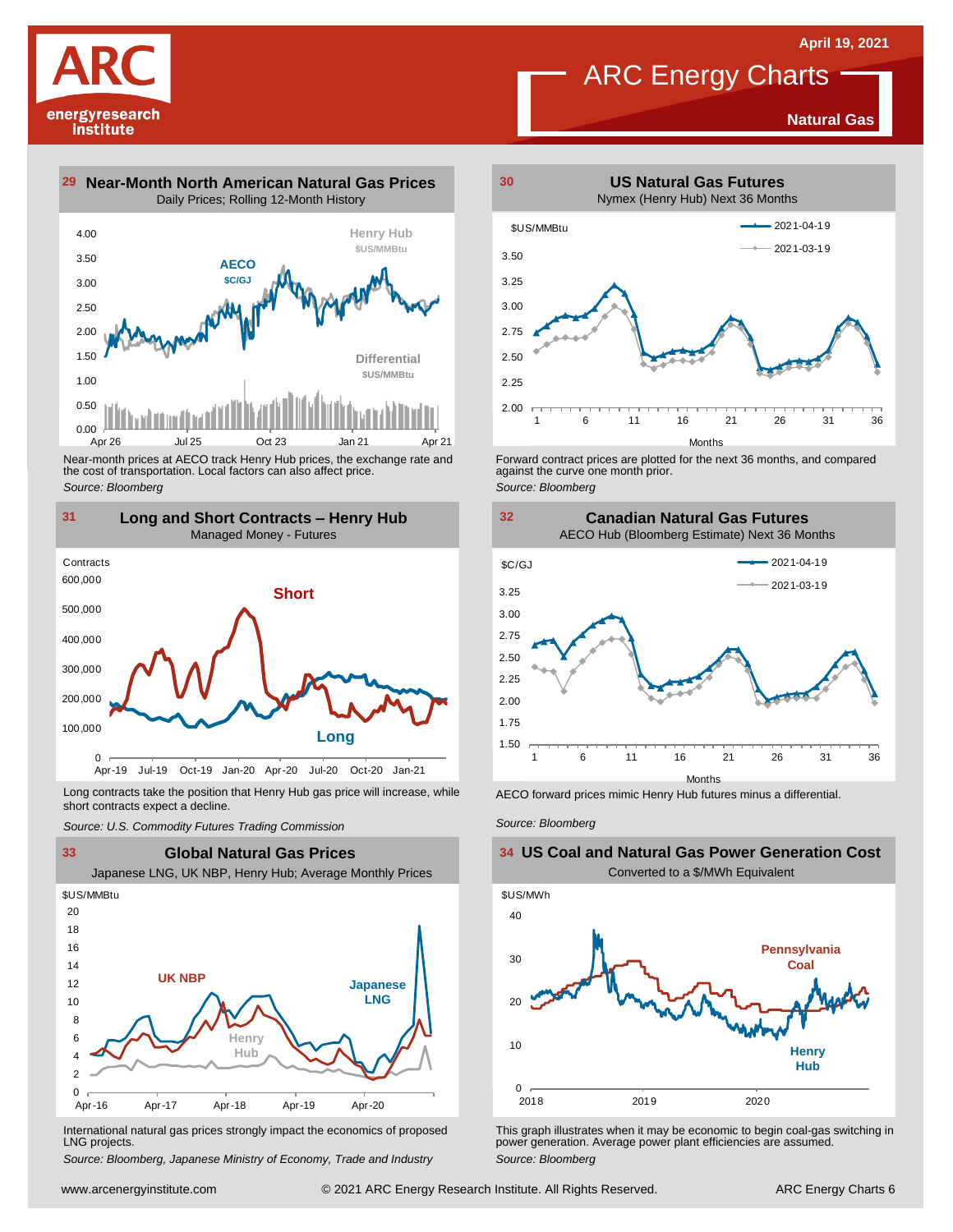**Natural Gas**



**31**



Near-month prices at AECO track Henry Hub prices, the exchange rate and<br>the cost of transportation. Local factors can also affect price.<br>Source: Bloomberg<br>**11 Long and Short Contracts – Henry Hub**<br>Managed Money - Futures *Source: Bloomberg*



Long contracts take the position that Henry Hub gas price will increase, while short contracts expect a decline. *Source: U.S. Commodity Futures Trading Commission* AECO forward prices mimic Henry Hub futures minus <sup>a</sup> differential. *Source: Bloomberg*



International natural gas prices strongly impact the economics of proposed LNG projects.

*Source: Bloomberg, Japanese Ministry of Economy, Trade and Industry*



**ARC Energy Charts** 

2.00 1 6 11 16 21 26 31 36 Months

Forward contract prices are plotted for the next <sup>36</sup> months, and compared against the curve one month prior. *Source: Bloomberg*

2.25 2.50 2.75 3.00 3.25 3.50

**32 Canadian Natural Gas Futures** AECO Hub (Bloomberg Estimate) Next 36 Months



## 40 \$US/MWh **US Coal and Natural Gas Power Generation Cost** Converted to a \$/MWh Equivalent **Pennsylvania**



This graph illustrates when it may be economic to begin coal-gas switching in power generation. Average power plant efficiencies are assumed. *Source: Bloomberg*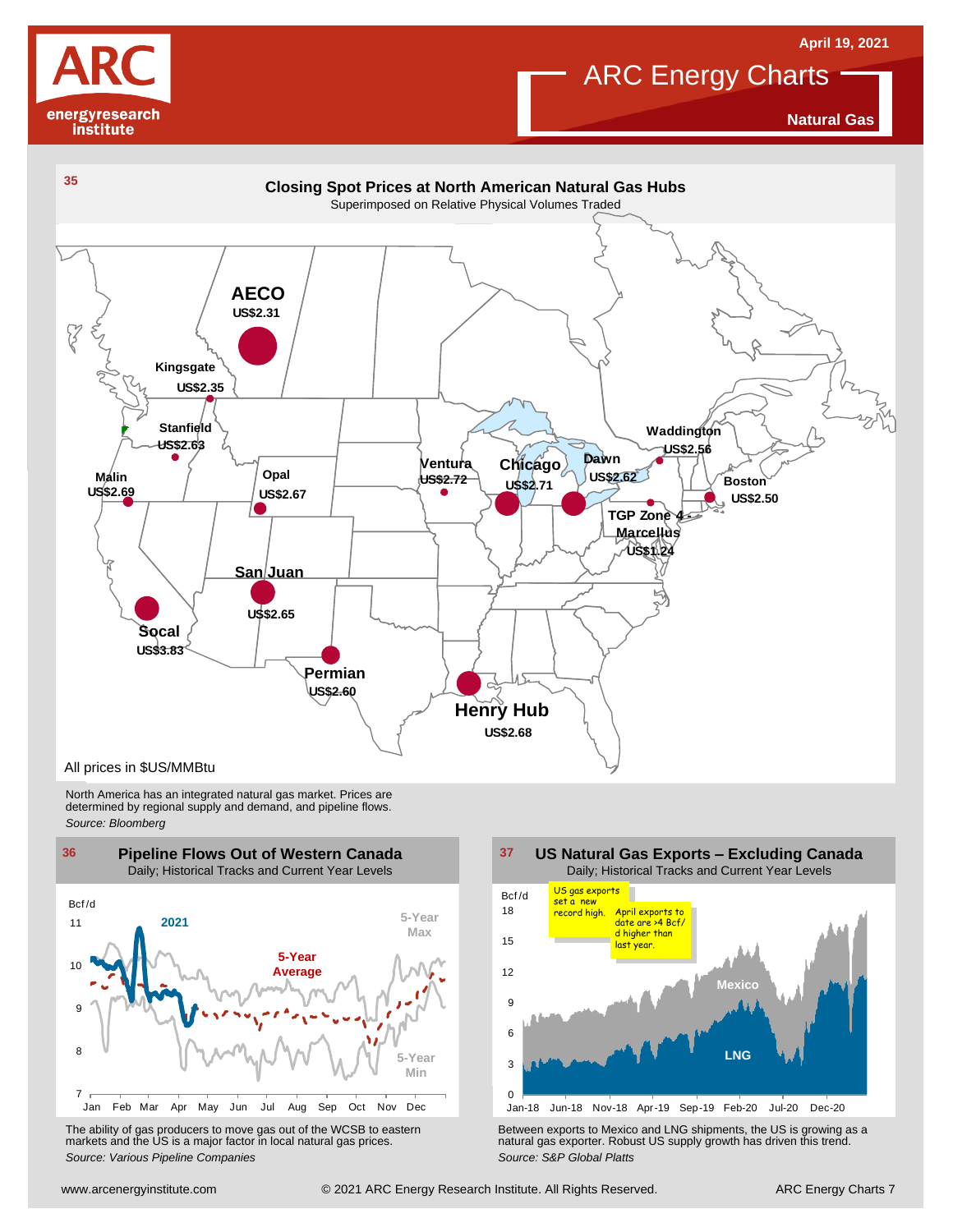



## **ARC Energy Charts**

**Natural Gas**



North America has an integrated natural gas market. Prices are determined by regional supply and demand, and pipeline flows. *Source: Bloomberg*





Using the Mar Apr May Jun Jul Aug Sep Oct Nov Dec Jun-18 Nov-18 Apr-19 Sep-19 Feb-20 Jul-20 Dec-20<br>
The ability of gas producers to move gas out of the WCSB to eastern<br>
markets and the US is a major factor in local natural The ability of gas producers to move gas out of the WCSB to eastern<br>The Between exports to Mexico and LNG shipments, the US is growing as a<br>Source: Various Pipeline Companies and actual gas prices.<br>Source: S&P Global Platt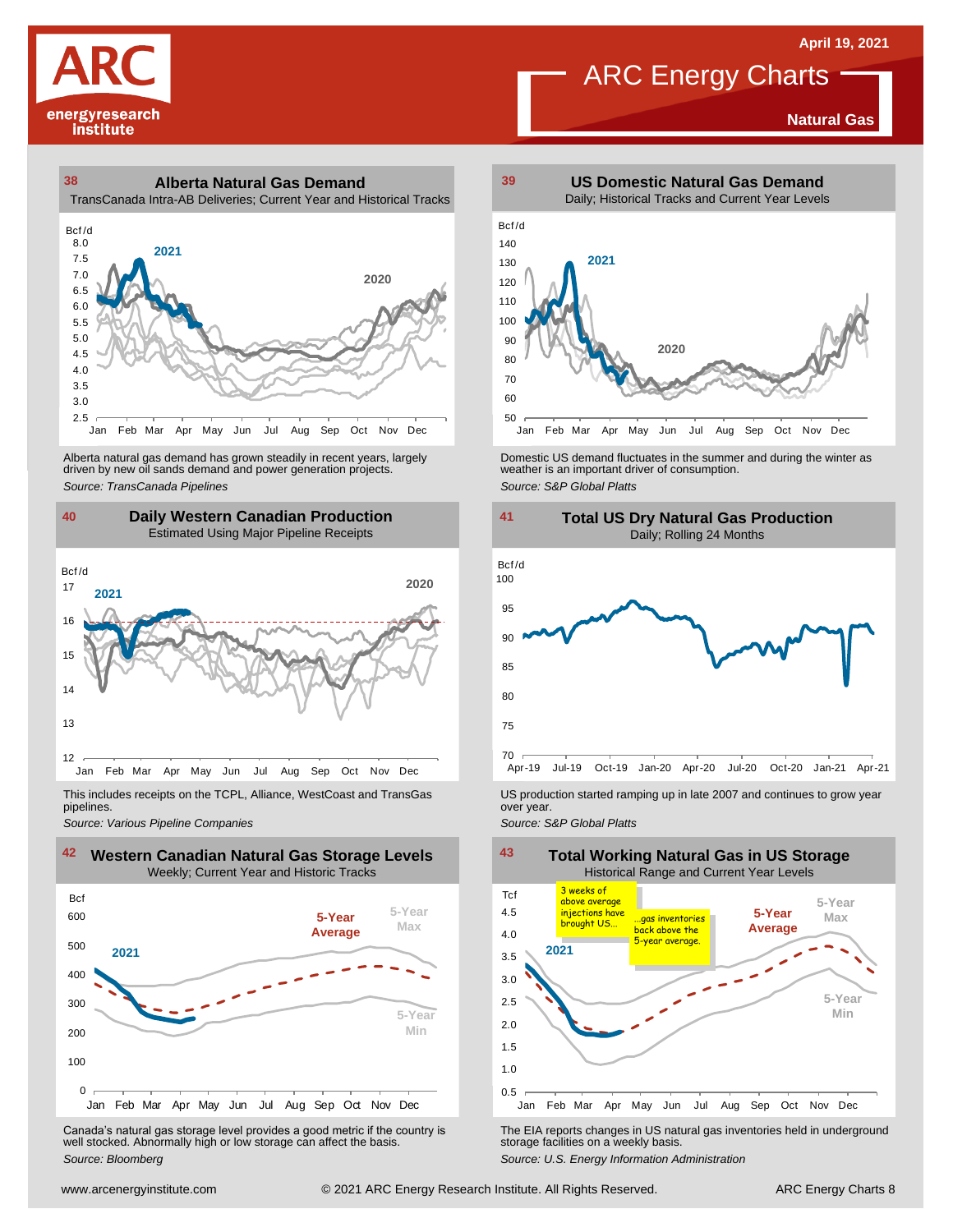**Natural Gas**

# energyresearch institute

## **38 39 Alberta Natural Gas Demand** TransCanada Intra-AB Deliveries; Current Year and Historical Tracks  $\begin{array}{c} \textbf{Tran:} \\ \textbf{Bcf/d} \\ \textbf{8.0} \end{array}$



Alberta natural gas demand has grown steadily in recent years, largely<br>
driven by new oil sands demand and power generation projects.<br>
Source: TransCanada Pipelines<br>
Source: S&P Global Platts<br>
Daily Western Canadian Produc Alberta natural gas demand has grown steadily in recent years, largely and Domestic US demand fluctuates in the summer and during the winter as driven by new oil sands demand and power generation projects.<br>Aniver by new oi

#### **40 41 Daily Western Canadian Production** Estimated Using Major Pipeline Receipts



This includes receipts on the TCPL, Alliance, WestCoast and TransGas pipelines.



Canada's natural gas storage level provides <sup>a</sup> good metric if the country is well stocked. Abnormally high or low storage can affect the basis. *Source: Bloomberg*



ARC Energy Charts



*Source: Pipelines Pipelines Pipelines Pipelines DSproduction started ramping up in late 2007 and continues to grow year pipelines. Source: Various Pipeline Companies Source: Various Pipeline Companies SA* 



The EIA reports changes in US natural gas inventories held in underground storage facilities on <sup>a</sup> weekly basis.

*Source: U.S. Energy Information Administration*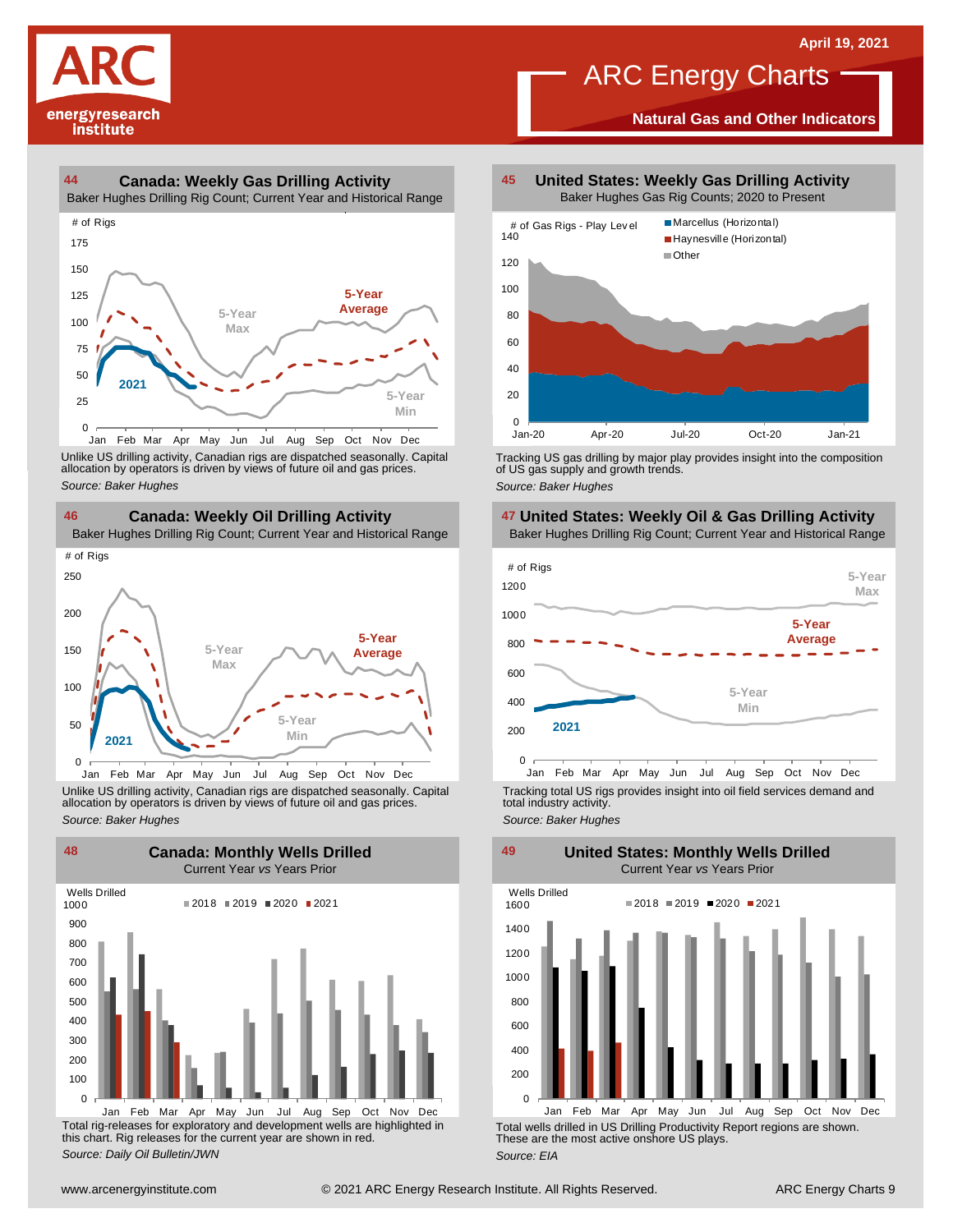

#### **44 45 Canada: Weekly Gas Drilling Activity**

Baker Hughes Drilling Rig Count; Current Year and Historical Range



Unlike US drilling activity, Canadian rigs are dispatched seasonally. Capital<br>allocation by operators is driven by views of future oil and gas prices. 0<br>Jan Feb Mar A<br>Unlike US drilling activi<br>allocation by operators<br>Source: Baker Hughes



Unlike US drilling activity, Canadian rigs are dispatched seasonally. Capital Tracking total US rigs provides insight into oil field services demand and<br>allocation by operators is driven by views of future oil and gas pric



Total rig-releases for exploratory and development wells are highlighted in this chart. Rig releases for the current year are shown in red. *Source: Daily Oil Bulletin/JWN*

**United States: Weekly Gas Drilling Activity**

**ARC Energy Charts** 

**Natural Gas and Other Indicators**



Tracking US gas drilling by major play provides insight into the composition of US gas supply and growth trends. *Source: Baker Hughes*

**United States: Weekly Oil & Gas Drilling Activity**



Tracking total US rigs provides insight into oil field services demand and total industry activity.

**United States: Monthly Wells Drilled**

*Source: Baker Hughes*



Total wells drilled in US Drilling Productivity Report regions are shown. These are the most active onshore US plays. *Source: EIA*